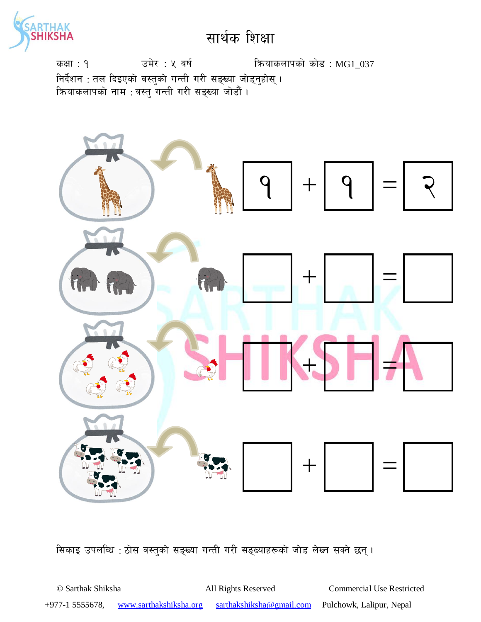

कक्षा: १  $\overline{37}$  उमेर : ५ वर्ष स्वियाकलापको कोड : MG1\_037 निर्देशन : तल दिइएको वस्तुको गन्ती गरी सङ्ख्या जोड्नुहोस् । कियाकलापको नाम : वस्तु गन्ती गरी सङ्ख्या जोडौं ।



सिकाइ उपलब्धि : ठोस वस्तुको सङ्ख्या गन्ती गरी सङ्ख्याहरूको जोड लेख्न सक्ने छन् ।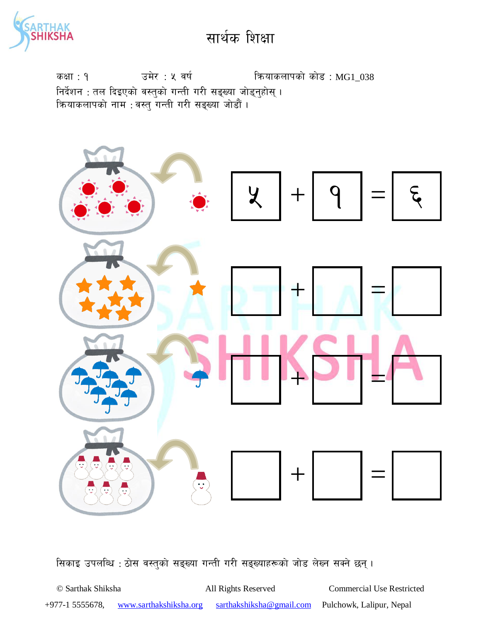

कक्षा : १  $\overline{3}$  उमेर : ५ वर्ष स्वियाकलापको कोड : MG1\_038 निर्देशन : तल दिइएको वस्तुको गन्ती गरी सङ्ख्या जोड्नुहोस् । क्रियाकलापको नाम : वस्तु गन्ती गरी सङ्ख्या जोडौं ।



सिकाइ उपलब्धि : ठोस वस्तुको सङ्ख्या गन्ती गरी सङ्ख्याहरूको जोड लेख्न सक्ने छन्।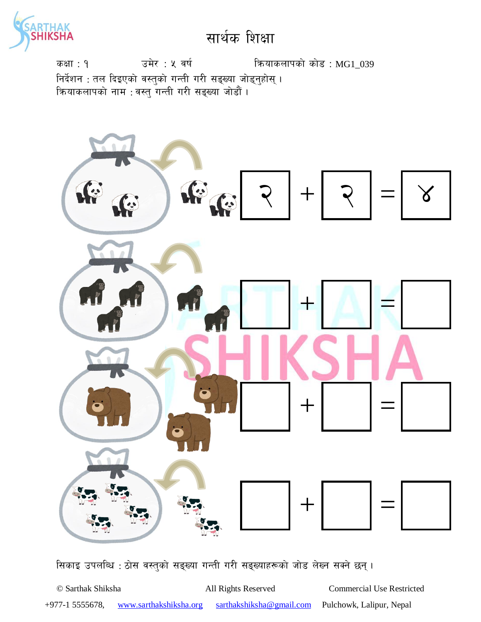

कक्षा: १  $\overline{39}$  उमेर : ५ वर्ष स्वियाकलापको कोड : MG1\_039 निर्देशन : तल दिइएको वस्तुको गन्ती गरी सङ्ख्या जोड्नुहोस् । क्रियाकलापको नाम : वस्तु गन्ती गरी सङ्ख्या जोडौं ।



सिकाइ उपलब्धि : ठोस वस्तुको सङ्ख्या गन्ती गरी सङ्ख्याहरूको जोड लेख्न सक्ने छन् ।

© Sarthak Shiksha All Rights Reserved Commercial Use Restricted +977-1 5555678, www.sarthakshiksha.org sarthakshiksha@gmail.com Pulchowk, Lalipur, Nepal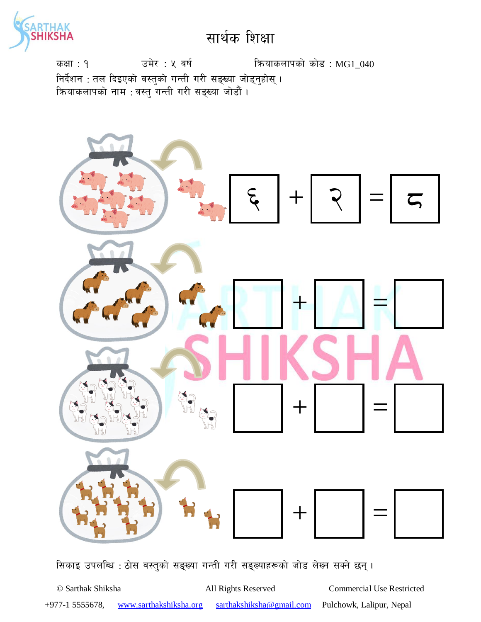

कक्षा: १  $\frac{1}{2}$  उमेर: ५ वर्ष स्वियाकलापको कोड: MG1\_040 निर्देशन : तल दिइएको वस्तुको गन्ती गरी सङ्ख्या जोड्नुहोस् । क्रियाकलापको नाम : वस्तु गन्ती गरी सङ्ख्या जोडौं ।



सिकाइ उपलब्धि : ठोस वस्तुको सङ्ख्या गन्ती गरी सङ्ख्याहरूको जोड लेख्न सक्ने छन् ।

© Sarthak Shiksha All Rights Reserved Commercial Use Restricted +977-1 5555678, www.sarthakshiksha.org sarthakshiksha@gmail.com Pulchowk, Lalipur, Nepal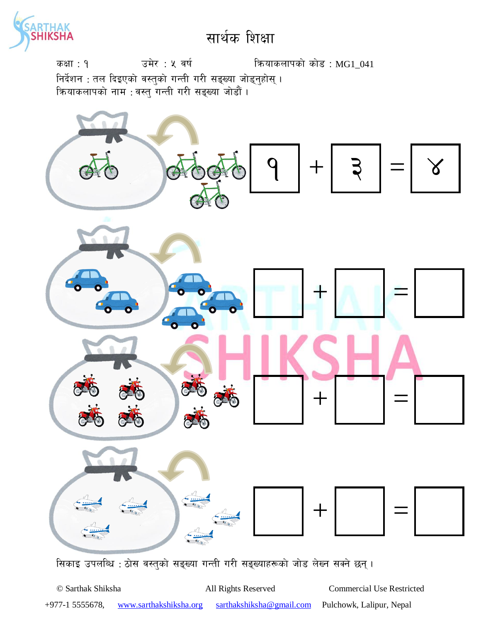

कक्षा: १  $\frac{1}{2}$  उमेर : ५ वर्ष स्वियाकलापको कोड : MG1\_041 निर्देशन : तल दिइएको वस्तुको गन्ती गरी सङ्ख्या जोड्नुहोस् । क्रियाकलापको नाम : वस्तु गन्ती गरी सङ्ख्या जोडौं ।



सिकाइ उपलब्धि : ठोस वस्तुको सङ्ख्या गन्ती गरी सङ्ख्याहरूको जोड लेख्न सक्ने छन् ।

© Sarthak Shiksha All Rights Reserved Commercial Use Restricted +977-1 5555678, www.sarthakshiksha.org sarthakshiksha@gmail.com Pulchowk, Lalipur, Nepal